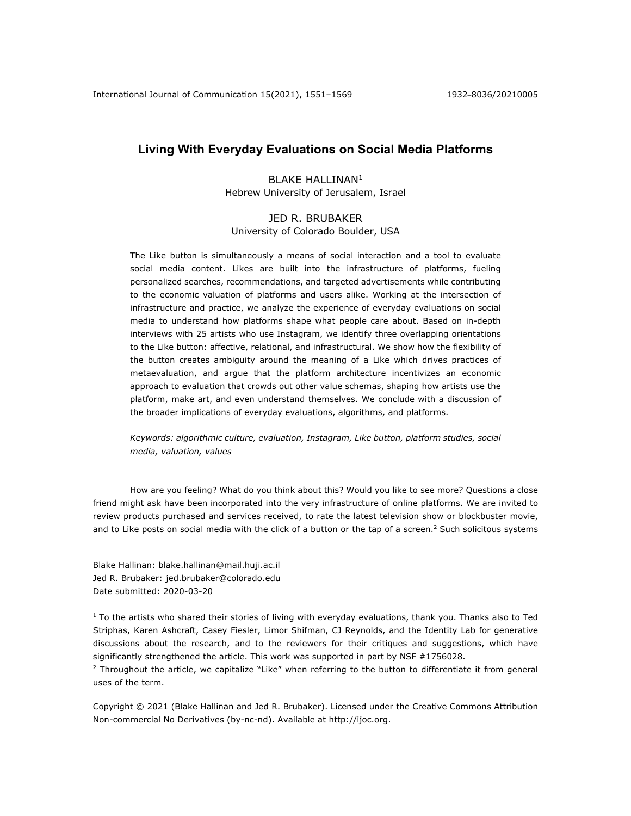# **Living With Everyday Evaluations on Social Media Platforms**

## BLAKE HALLINAN1 Hebrew University of Jerusalem, Israel

## JED R. BRUBAKER University of Colorado Boulder, USA

The Like button is simultaneously a means of social interaction and a tool to evaluate social media content. Likes are built into the infrastructure of platforms, fueling personalized searches, recommendations, and targeted advertisements while contributing to the economic valuation of platforms and users alike. Working at the intersection of infrastructure and practice, we analyze the experience of everyday evaluations on social media to understand how platforms shape what people care about. Based on in-depth interviews with 25 artists who use Instagram, we identify three overlapping orientations to the Like button: affective, relational, and infrastructural. We show how the flexibility of the button creates ambiguity around the meaning of a Like which drives practices of metaevaluation, and argue that the platform architecture incentivizes an economic approach to evaluation that crowds out other value schemas, shaping how artists use the platform, make art, and even understand themselves. We conclude with a discussion of the broader implications of everyday evaluations, algorithms, and platforms.

*Keywords: algorithmic culture, evaluation, Instagram, Like button, platform studies, social media, valuation, values*

How are you feeling? What do you think about this? Would you like to see more? Questions a close friend might ask have been incorporated into the very infrastructure of online platforms. We are invited to review products purchased and services received, to rate the latest television show or blockbuster movie, and to Like posts on social media with the click of a button or the tap of a screen.<sup>2</sup> Such solicitous systems

Blake Hallinan: blake.hallinan@mail.huji.ac.il Jed R. Brubaker: jed.brubaker@colorado.edu Date submitted: 2020-03-20

Copyright © 2021 (Blake Hallinan and Jed R. Brubaker). Licensed under the Creative Commons Attribution Non-commercial No Derivatives (by-nc-nd). Available at http://ijoc.org.

 $1$  To the artists who shared their stories of living with everyday evaluations, thank you. Thanks also to Ted Striphas, Karen Ashcraft, Casey Fiesler, Limor Shifman, CJ Reynolds, and the Identity Lab for generative discussions about the research, and to the reviewers for their critiques and suggestions, which have significantly strengthened the article. This work was supported in part by NSF #1756028.

 $2$  Throughout the article, we capitalize "Like" when referring to the button to differentiate it from general uses of the term.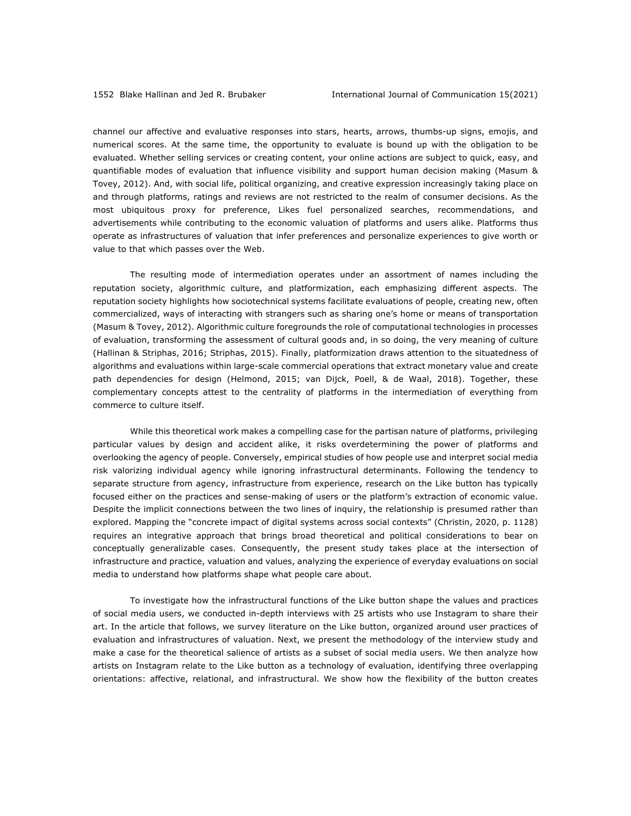channel our affective and evaluative responses into stars, hearts, arrows, thumbs-up signs, emojis, and numerical scores. At the same time, the opportunity to evaluate is bound up with the obligation to be evaluated. Whether selling services or creating content, your online actions are subject to quick, easy, and quantifiable modes of evaluation that influence visibility and support human decision making (Masum & Tovey, 2012). And, with social life, political organizing, and creative expression increasingly taking place on and through platforms, ratings and reviews are not restricted to the realm of consumer decisions. As the most ubiquitous proxy for preference, Likes fuel personalized searches, recommendations, and advertisements while contributing to the economic valuation of platforms and users alike. Platforms thus operate as infrastructures of valuation that infer preferences and personalize experiences to give worth or value to that which passes over the Web.

The resulting mode of intermediation operates under an assortment of names including the reputation society, algorithmic culture, and platformization, each emphasizing different aspects. The reputation society highlights how sociotechnical systems facilitate evaluations of people, creating new, often commercialized, ways of interacting with strangers such as sharing one's home or means of transportation (Masum & Tovey, 2012). Algorithmic culture foregrounds the role of computational technologies in processes of evaluation, transforming the assessment of cultural goods and, in so doing, the very meaning of culture (Hallinan & Striphas, 2016; Striphas, 2015). Finally, platformization draws attention to the situatedness of algorithms and evaluations within large-scale commercial operations that extract monetary value and create path dependencies for design (Helmond, 2015; van Dijck, Poell, & de Waal, 2018). Together, these complementary concepts attest to the centrality of platforms in the intermediation of everything from commerce to culture itself.

While this theoretical work makes a compelling case for the partisan nature of platforms, privileging particular values by design and accident alike, it risks overdetermining the power of platforms and overlooking the agency of people. Conversely, empirical studies of how people use and interpret social media risk valorizing individual agency while ignoring infrastructural determinants. Following the tendency to separate structure from agency, infrastructure from experience, research on the Like button has typically focused either on the practices and sense-making of users or the platform's extraction of economic value. Despite the implicit connections between the two lines of inquiry, the relationship is presumed rather than explored. Mapping the "concrete impact of digital systems across social contexts" (Christin, 2020, p. 1128) requires an integrative approach that brings broad theoretical and political considerations to bear on conceptually generalizable cases. Consequently, the present study takes place at the intersection of infrastructure and practice, valuation and values, analyzing the experience of everyday evaluations on social media to understand how platforms shape what people care about.

To investigate how the infrastructural functions of the Like button shape the values and practices of social media users, we conducted in-depth interviews with 25 artists who use Instagram to share their art. In the article that follows, we survey literature on the Like button, organized around user practices of evaluation and infrastructures of valuation. Next, we present the methodology of the interview study and make a case for the theoretical salience of artists as a subset of social media users. We then analyze how artists on Instagram relate to the Like button as a technology of evaluation, identifying three overlapping orientations: affective, relational, and infrastructural. We show how the flexibility of the button creates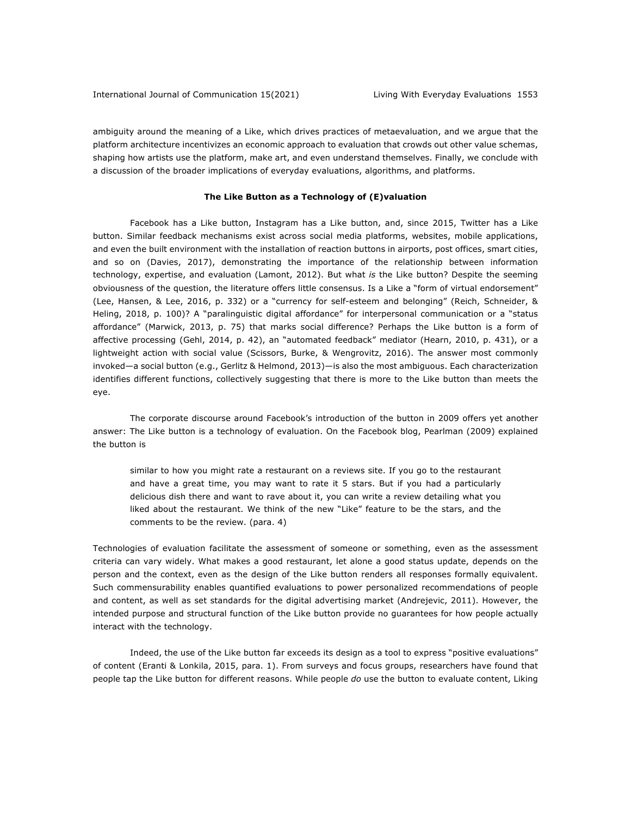ambiguity around the meaning of a Like, which drives practices of metaevaluation, and we argue that the platform architecture incentivizes an economic approach to evaluation that crowds out other value schemas, shaping how artists use the platform, make art, and even understand themselves. Finally, we conclude with a discussion of the broader implications of everyday evaluations, algorithms, and platforms.

## **The Like Button as a Technology of (E)valuation**

Facebook has a Like button, Instagram has a Like button, and, since 2015, Twitter has a Like button. Similar feedback mechanisms exist across social media platforms, websites, mobile applications, and even the built environment with the installation of reaction buttons in airports, post offices, smart cities, and so on (Davies, 2017), demonstrating the importance of the relationship between information technology, expertise, and evaluation (Lamont, 2012). But what *is* the Like button? Despite the seeming obviousness of the question, the literature offers little consensus. Is a Like a "form of virtual endorsement" (Lee, Hansen, & Lee, 2016, p. 332) or a "currency for self-esteem and belonging" (Reich, Schneider, & Heling, 2018, p. 100)? A "paralinguistic digital affordance" for interpersonal communication or a "status affordance" (Marwick, 2013, p. 75) that marks social difference? Perhaps the Like button is a form of affective processing (Gehl, 2014, p. 42), an "automated feedback" mediator (Hearn, 2010, p. 431), or a lightweight action with social value (Scissors, Burke, & Wengrovitz, 2016). The answer most commonly invoked—a social button (e.g., Gerlitz & Helmond, 2013)—is also the most ambiguous. Each characterization identifies different functions, collectively suggesting that there is more to the Like button than meets the eye.

The corporate discourse around Facebook's introduction of the button in 2009 offers yet another answer: The Like button is a technology of evaluation. On the Facebook blog, Pearlman (2009) explained the button is

similar to how you might rate a restaurant on a reviews site. If you go to the restaurant and have a great time, you may want to rate it 5 stars. But if you had a particularly delicious dish there and want to rave about it, you can write a review detailing what you liked about the restaurant. We think of the new "Like" feature to be the stars, and the comments to be the review. (para. 4)

Technologies of evaluation facilitate the assessment of someone or something, even as the assessment criteria can vary widely. What makes a good restaurant, let alone a good status update, depends on the person and the context, even as the design of the Like button renders all responses formally equivalent. Such commensurability enables quantified evaluations to power personalized recommendations of people and content, as well as set standards for the digital advertising market (Andrejevic, 2011). However, the intended purpose and structural function of the Like button provide no guarantees for how people actually interact with the technology.

Indeed, the use of the Like button far exceeds its design as a tool to express "positive evaluations" of content (Eranti & Lonkila, 2015, para. 1). From surveys and focus groups, researchers have found that people tap the Like button for different reasons. While people *do* use the button to evaluate content, Liking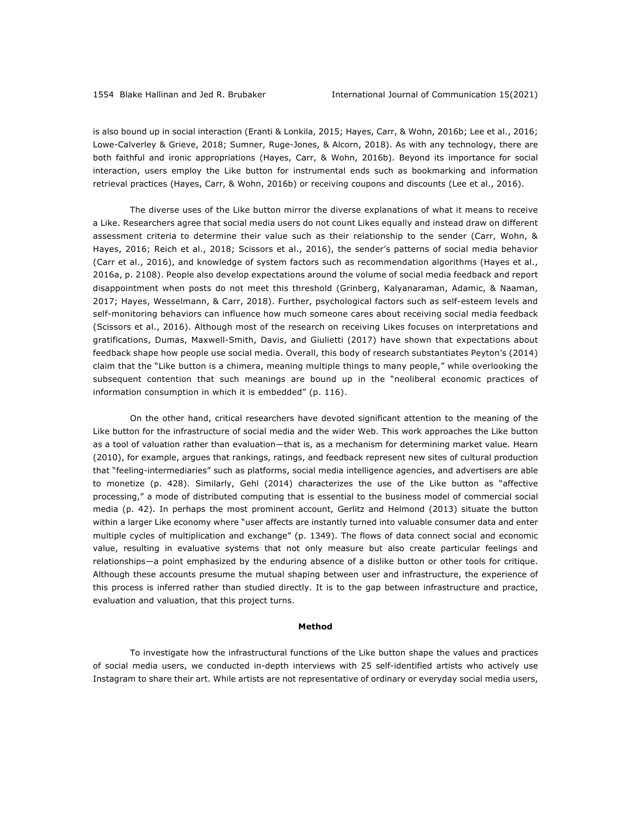is also bound up in social interaction (Eranti & Lonkila, 2015; Hayes, Carr, & Wohn, 2016b; Lee et al., 2016; Lowe-Calverley & Grieve, 2018; Sumner, Ruge-Jones, & Alcorn, 2018). As with any technology, there are both faithful and ironic appropriations (Hayes, Carr, & Wohn, 2016b). Beyond its importance for social interaction, users employ the Like button for instrumental ends such as bookmarking and information retrieval practices (Hayes, Carr, & Wohn, 2016b) or receiving coupons and discounts (Lee et al., 2016).

The diverse uses of the Like button mirror the diverse explanations of what it means to receive a Like. Researchers agree that social media users do not count Likes equally and instead draw on different assessment criteria to determine their value such as their relationship to the sender (Carr, Wohn, & Hayes, 2016; Reich et al., 2018; Scissors et al., 2016), the sender's patterns of social media behavior (Carr et al., 2016), and knowledge of system factors such as recommendation algorithms (Hayes et al., 2016a, p. 2108). People also develop expectations around the volume of social media feedback and report disappointment when posts do not meet this threshold (Grinberg, Kalyanaraman, Adamic, & Naaman, 2017; Hayes, Wesselmann, & Carr, 2018). Further, psychological factors such as self-esteem levels and self-monitoring behaviors can influence how much someone cares about receiving social media feedback (Scissors et al., 2016). Although most of the research on receiving Likes focuses on interpretations and gratifications, Dumas, Maxwell-Smith, Davis, and Giulietti (2017) have shown that expectations about feedback shape how people use social media. Overall, this body of research substantiates Peyton's (2014) claim that the "Like button is a chimera, meaning multiple things to many people," while overlooking the subsequent contention that such meanings are bound up in the "neoliberal economic practices of information consumption in which it is embedded" (p. 116).

On the other hand, critical researchers have devoted significant attention to the meaning of the Like button for the infrastructure of social media and the wider Web. This work approaches the Like button as a tool of valuation rather than evaluation—that is, as a mechanism for determining market value. Hearn (2010), for example, argues that rankings, ratings, and feedback represent new sites of cultural production that "feeling-intermediaries" such as platforms, social media intelligence agencies, and advertisers are able to monetize (p. 428). Similarly, Gehl (2014) characterizes the use of the Like button as "affective processing," a mode of distributed computing that is essential to the business model of commercial social media (p. 42). In perhaps the most prominent account, Gerlitz and Helmond (2013) situate the button within a larger Like economy where "user affects are instantly turned into valuable consumer data and enter multiple cycles of multiplication and exchange" (p. 1349). The flows of data connect social and economic value, resulting in evaluative systems that not only measure but also create particular feelings and relationships—a point emphasized by the enduring absence of a dislike button or other tools for critique. Although these accounts presume the mutual shaping between user and infrastructure, the experience of this process is inferred rather than studied directly. It is to the gap between infrastructure and practice, evaluation and valuation, that this project turns.

#### **Method**

To investigate how the infrastructural functions of the Like button shape the values and practices of social media users, we conducted in-depth interviews with 25 self-identified artists who actively use Instagram to share their art. While artists are not representative of ordinary or everyday social media users,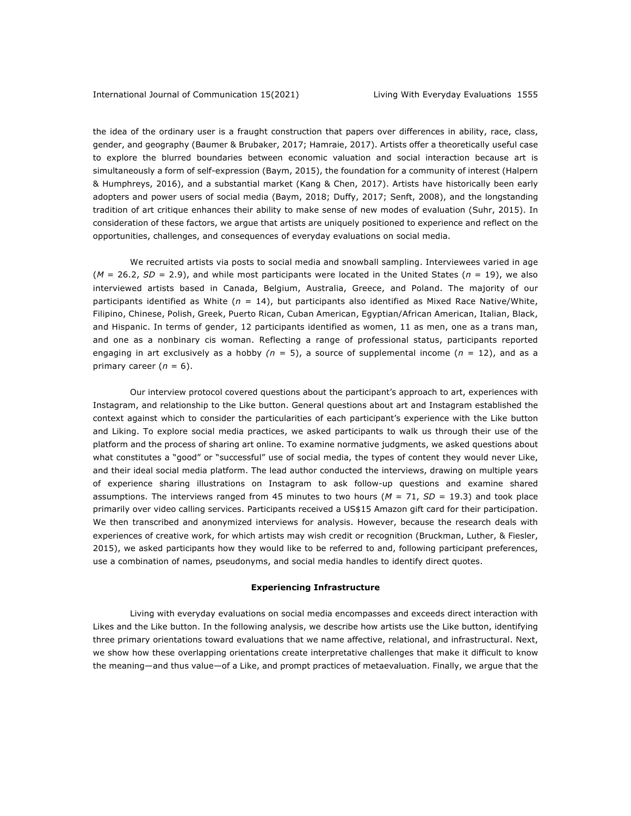the idea of the ordinary user is a fraught construction that papers over differences in ability, race, class, gender, and geography (Baumer & Brubaker, 2017; Hamraie, 2017). Artists offer a theoretically useful case to explore the blurred boundaries between economic valuation and social interaction because art is simultaneously a form of self-expression (Baym, 2015), the foundation for a community of interest (Halpern & Humphreys, 2016), and a substantial market (Kang & Chen, 2017). Artists have historically been early adopters and power users of social media (Baym, 2018; Duffy, 2017; Senft, 2008), and the longstanding tradition of art critique enhances their ability to make sense of new modes of evaluation (Suhr, 2015). In consideration of these factors, we argue that artists are uniquely positioned to experience and reflect on the opportunities, challenges, and consequences of everyday evaluations on social media.

We recruited artists via posts to social media and snowball sampling. Interviewees varied in age (*M* = 26.2, *SD* = 2.9), and while most participants were located in the United States (*n* = 19), we also interviewed artists based in Canada, Belgium, Australia, Greece, and Poland. The majority of our participants identified as White (*n* = 14), but participants also identified as Mixed Race Native/White, Filipino, Chinese, Polish, Greek, Puerto Rican, Cuban American, Egyptian/African American, Italian, Black, and Hispanic. In terms of gender, 12 participants identified as women, 11 as men, one as a trans man, and one as a nonbinary cis woman. Reflecting a range of professional status, participants reported engaging in art exclusively as a hobby  $(n = 5)$ , a source of supplemental income  $(n = 12)$ , and as a primary career  $(n = 6)$ .

Our interview protocol covered questions about the participant's approach to art, experiences with Instagram, and relationship to the Like button. General questions about art and Instagram established the context against which to consider the particularities of each participant's experience with the Like button and Liking. To explore social media practices, we asked participants to walk us through their use of the platform and the process of sharing art online. To examine normative judgments, we asked questions about what constitutes a "good" or "successful" use of social media, the types of content they would never Like, and their ideal social media platform. The lead author conducted the interviews, drawing on multiple years of experience sharing illustrations on Instagram to ask follow-up questions and examine shared assumptions. The interviews ranged from 45 minutes to two hours  $(M = 71, SD = 19.3)$  and took place primarily over video calling services. Participants received a US\$15 Amazon gift card for their participation. We then transcribed and anonymized interviews for analysis. However, because the research deals with experiences of creative work, for which artists may wish credit or recognition (Bruckman, Luther, & Fiesler, 2015), we asked participants how they would like to be referred to and, following participant preferences, use a combination of names, pseudonyms, and social media handles to identify direct quotes.

## **Experiencing Infrastructure**

Living with everyday evaluations on social media encompasses and exceeds direct interaction with Likes and the Like button. In the following analysis, we describe how artists use the Like button, identifying three primary orientations toward evaluations that we name affective, relational, and infrastructural. Next, we show how these overlapping orientations create interpretative challenges that make it difficult to know the meaning—and thus value—of a Like, and prompt practices of metaevaluation. Finally, we argue that the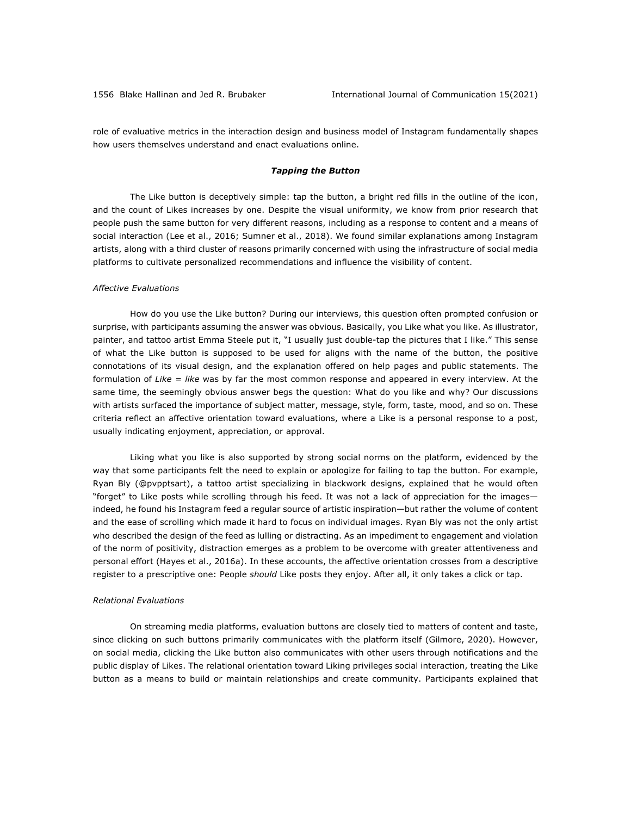role of evaluative metrics in the interaction design and business model of Instagram fundamentally shapes how users themselves understand and enact evaluations online.

## *Tapping the Button*

The Like button is deceptively simple: tap the button, a bright red fills in the outline of the icon, and the count of Likes increases by one. Despite the visual uniformity, we know from prior research that people push the same button for very different reasons, including as a response to content and a means of social interaction (Lee et al., 2016; Sumner et al., 2018). We found similar explanations among Instagram artists, along with a third cluster of reasons primarily concerned with using the infrastructure of social media platforms to cultivate personalized recommendations and influence the visibility of content.

## *Affective Evaluations*

How do you use the Like button? During our interviews, this question often prompted confusion or surprise, with participants assuming the answer was obvious. Basically, you Like what you like. As illustrator, painter, and tattoo artist Emma Steele put it, "I usually just double-tap the pictures that I like." This sense of what the Like button is supposed to be used for aligns with the name of the button, the positive connotations of its visual design, and the explanation offered on help pages and public statements. The formulation of *Like = like* was by far the most common response and appeared in every interview. At the same time, the seemingly obvious answer begs the question: What do you like and why? Our discussions with artists surfaced the importance of subject matter, message, style, form, taste, mood, and so on. These criteria reflect an affective orientation toward evaluations, where a Like is a personal response to a post, usually indicating enjoyment, appreciation, or approval.

Liking what you like is also supported by strong social norms on the platform, evidenced by the way that some participants felt the need to explain or apologize for failing to tap the button. For example, Ryan Bly (@pvpptsart), a tattoo artist specializing in blackwork designs, explained that he would often "forget" to Like posts while scrolling through his feed. It was not a lack of appreciation for the images indeed, he found his Instagram feed a regular source of artistic inspiration—but rather the volume of content and the ease of scrolling which made it hard to focus on individual images. Ryan Bly was not the only artist who described the design of the feed as lulling or distracting. As an impediment to engagement and violation of the norm of positivity, distraction emerges as a problem to be overcome with greater attentiveness and personal effort (Hayes et al., 2016a). In these accounts, the affective orientation crosses from a descriptive register to a prescriptive one: People *should* Like posts they enjoy. After all, it only takes a click or tap.

#### *Relational Evaluations*

On streaming media platforms, evaluation buttons are closely tied to matters of content and taste, since clicking on such buttons primarily communicates with the platform itself (Gilmore, 2020). However, on social media, clicking the Like button also communicates with other users through notifications and the public display of Likes. The relational orientation toward Liking privileges social interaction, treating the Like button as a means to build or maintain relationships and create community. Participants explained that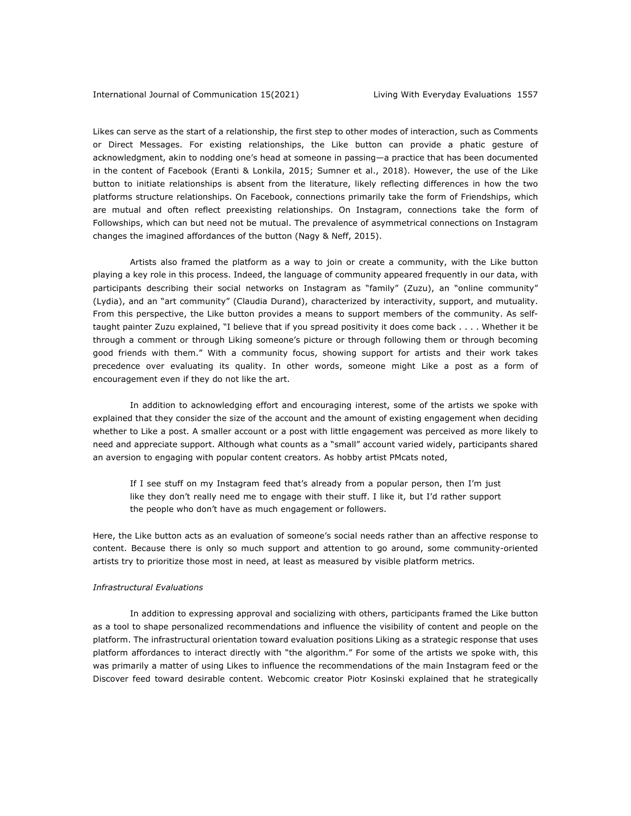Likes can serve as the start of a relationship, the first step to other modes of interaction, such as Comments or Direct Messages. For existing relationships, the Like button can provide a phatic gesture of acknowledgment, akin to nodding one's head at someone in passing—a practice that has been documented in the content of Facebook (Eranti & Lonkila, 2015; Sumner et al., 2018). However, the use of the Like button to initiate relationships is absent from the literature, likely reflecting differences in how the two platforms structure relationships. On Facebook, connections primarily take the form of Friendships, which are mutual and often reflect preexisting relationships. On Instagram, connections take the form of Followships, which can but need not be mutual. The prevalence of asymmetrical connections on Instagram changes the imagined affordances of the button (Nagy & Neff, 2015).

Artists also framed the platform as a way to join or create a community, with the Like button playing a key role in this process. Indeed, the language of community appeared frequently in our data, with participants describing their social networks on Instagram as "family" (Zuzu), an "online community" (Lydia), and an "art community" (Claudia Durand), characterized by interactivity, support, and mutuality. From this perspective, the Like button provides a means to support members of the community. As selftaught painter Zuzu explained, "I believe that if you spread positivity it does come back . . . . Whether it be through a comment or through Liking someone's picture or through following them or through becoming good friends with them." With a community focus, showing support for artists and their work takes precedence over evaluating its quality. In other words, someone might Like a post as a form of encouragement even if they do not like the art.

In addition to acknowledging effort and encouraging interest, some of the artists we spoke with explained that they consider the size of the account and the amount of existing engagement when deciding whether to Like a post. A smaller account or a post with little engagement was perceived as more likely to need and appreciate support. Although what counts as a "small" account varied widely, participants shared an aversion to engaging with popular content creators. As hobby artist PMcats noted,

If I see stuff on my Instagram feed that's already from a popular person, then I'm just like they don't really need me to engage with their stuff. I like it, but I'd rather support the people who don't have as much engagement or followers.

Here, the Like button acts as an evaluation of someone's social needs rather than an affective response to content. Because there is only so much support and attention to go around, some community-oriented artists try to prioritize those most in need, at least as measured by visible platform metrics.

#### *Infrastructural Evaluations*

In addition to expressing approval and socializing with others, participants framed the Like button as a tool to shape personalized recommendations and influence the visibility of content and people on the platform. The infrastructural orientation toward evaluation positions Liking as a strategic response that uses platform affordances to interact directly with "the algorithm." For some of the artists we spoke with, this was primarily a matter of using Likes to influence the recommendations of the main Instagram feed or the Discover feed toward desirable content. Webcomic creator Piotr Kosinski explained that he strategically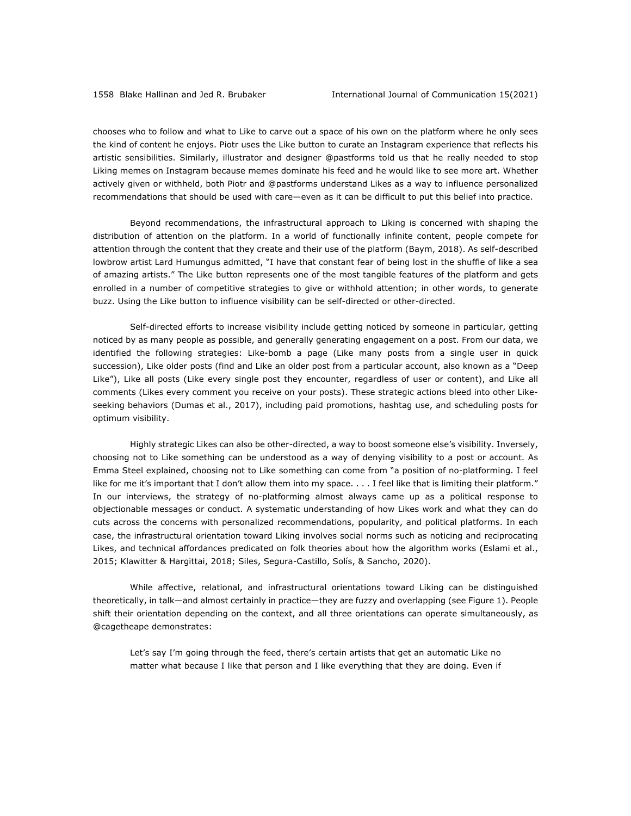chooses who to follow and what to Like to carve out a space of his own on the platform where he only sees the kind of content he enjoys. Piotr uses the Like button to curate an Instagram experience that reflects his artistic sensibilities. Similarly, illustrator and designer @pastforms told us that he really needed to stop Liking memes on Instagram because memes dominate his feed and he would like to see more art. Whether actively given or withheld, both Piotr and @pastforms understand Likes as a way to influence personalized recommendations that should be used with care—even as it can be difficult to put this belief into practice.

Beyond recommendations, the infrastructural approach to Liking is concerned with shaping the distribution of attention on the platform. In a world of functionally infinite content, people compete for attention through the content that they create and their use of the platform (Baym, 2018). As self-described lowbrow artist Lard Humungus admitted, "I have that constant fear of being lost in the shuffle of like a sea of amazing artists." The Like button represents one of the most tangible features of the platform and gets enrolled in a number of competitive strategies to give or withhold attention; in other words, to generate buzz. Using the Like button to influence visibility can be self-directed or other-directed.

Self-directed efforts to increase visibility include getting noticed by someone in particular, getting noticed by as many people as possible, and generally generating engagement on a post. From our data, we identified the following strategies: Like-bomb a page (Like many posts from a single user in quick succession), Like older posts (find and Like an older post from a particular account, also known as a "Deep Like"), Like all posts (Like every single post they encounter, regardless of user or content), and Like all comments (Likes every comment you receive on your posts). These strategic actions bleed into other Likeseeking behaviors (Dumas et al., 2017), including paid promotions, hashtag use, and scheduling posts for optimum visibility.

Highly strategic Likes can also be other-directed, a way to boost someone else's visibility. Inversely, choosing not to Like something can be understood as a way of denying visibility to a post or account. As Emma Steel explained, choosing not to Like something can come from "a position of no-platforming. I feel like for me it's important that I don't allow them into my space. . . . I feel like that is limiting their platform." In our interviews, the strategy of no-platforming almost always came up as a political response to objectionable messages or conduct. A systematic understanding of how Likes work and what they can do cuts across the concerns with personalized recommendations, popularity, and political platforms. In each case, the infrastructural orientation toward Liking involves social norms such as noticing and reciprocating Likes, and technical affordances predicated on folk theories about how the algorithm works (Eslami et al., 2015; Klawitter & Hargittai, 2018; Siles, Segura-Castillo, Solís, & Sancho, 2020).

While affective, relational, and infrastructural orientations toward Liking can be distinguished theoretically, in talk—and almost certainly in practice—they are fuzzy and overlapping (see Figure 1). People shift their orientation depending on the context, and all three orientations can operate simultaneously, as @cagetheape demonstrates:

Let's say I'm going through the feed, there's certain artists that get an automatic Like no matter what because I like that person and I like everything that they are doing. Even if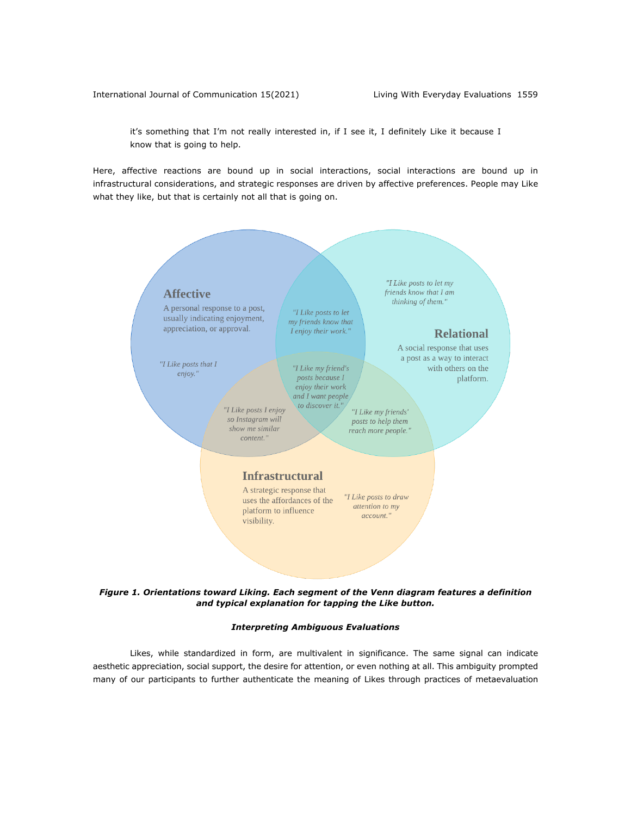it's something that I'm not really interested in, if I see it, I definitely Like it because I know that is going to help.

Here, affective reactions are bound up in social interactions, social interactions are bound up in infrastructural considerations, and strategic responses are driven by affective preferences. People may Like what they like, but that is certainly not all that is going on.



*Figure 1. Orientations toward Liking. Each segment of the Venn diagram features a definition and typical explanation for tapping the Like button.*

## *Interpreting Ambiguous Evaluations*

Likes, while standardized in form, are multivalent in significance. The same signal can indicate aesthetic appreciation, social support, the desire for attention, or even nothing at all. This ambiguity prompted many of our participants to further authenticate the meaning of Likes through practices of metaevaluation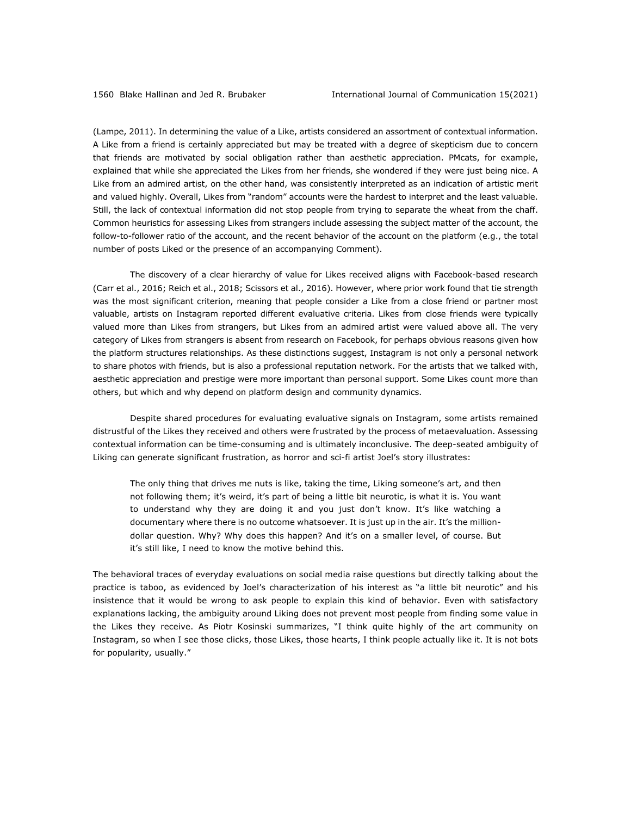(Lampe, 2011). In determining the value of a Like, artists considered an assortment of contextual information. A Like from a friend is certainly appreciated but may be treated with a degree of skepticism due to concern that friends are motivated by social obligation rather than aesthetic appreciation. PMcats, for example, explained that while she appreciated the Likes from her friends, she wondered if they were just being nice. A Like from an admired artist, on the other hand, was consistently interpreted as an indication of artistic merit and valued highly. Overall, Likes from "random" accounts were the hardest to interpret and the least valuable. Still, the lack of contextual information did not stop people from trying to separate the wheat from the chaff. Common heuristics for assessing Likes from strangers include assessing the subject matter of the account, the follow-to-follower ratio of the account, and the recent behavior of the account on the platform (e.g., the total number of posts Liked or the presence of an accompanying Comment).

The discovery of a clear hierarchy of value for Likes received aligns with Facebook-based research (Carr et al., 2016; Reich et al., 2018; Scissors et al., 2016). However, where prior work found that tie strength was the most significant criterion, meaning that people consider a Like from a close friend or partner most valuable, artists on Instagram reported different evaluative criteria. Likes from close friends were typically valued more than Likes from strangers, but Likes from an admired artist were valued above all. The very category of Likes from strangers is absent from research on Facebook, for perhaps obvious reasons given how the platform structures relationships. As these distinctions suggest, Instagram is not only a personal network to share photos with friends, but is also a professional reputation network. For the artists that we talked with, aesthetic appreciation and prestige were more important than personal support. Some Likes count more than others, but which and why depend on platform design and community dynamics.

Despite shared procedures for evaluating evaluative signals on Instagram, some artists remained distrustful of the Likes they received and others were frustrated by the process of metaevaluation. Assessing contextual information can be time-consuming and is ultimately inconclusive. The deep-seated ambiguity of Liking can generate significant frustration, as horror and sci-fi artist Joel's story illustrates:

The only thing that drives me nuts is like, taking the time, Liking someone's art, and then not following them; it's weird, it's part of being a little bit neurotic, is what it is. You want to understand why they are doing it and you just don't know. It's like watching a documentary where there is no outcome whatsoever. It is just up in the air. It's the milliondollar question. Why? Why does this happen? And it's on a smaller level, of course. But it's still like, I need to know the motive behind this.

The behavioral traces of everyday evaluations on social media raise questions but directly talking about the practice is taboo, as evidenced by Joel's characterization of his interest as "a little bit neurotic" and his insistence that it would be wrong to ask people to explain this kind of behavior. Even with satisfactory explanations lacking, the ambiguity around Liking does not prevent most people from finding some value in the Likes they receive. As Piotr Kosinski summarizes, "I think quite highly of the art community on Instagram, so when I see those clicks, those Likes, those hearts, I think people actually like it. It is not bots for popularity, usually."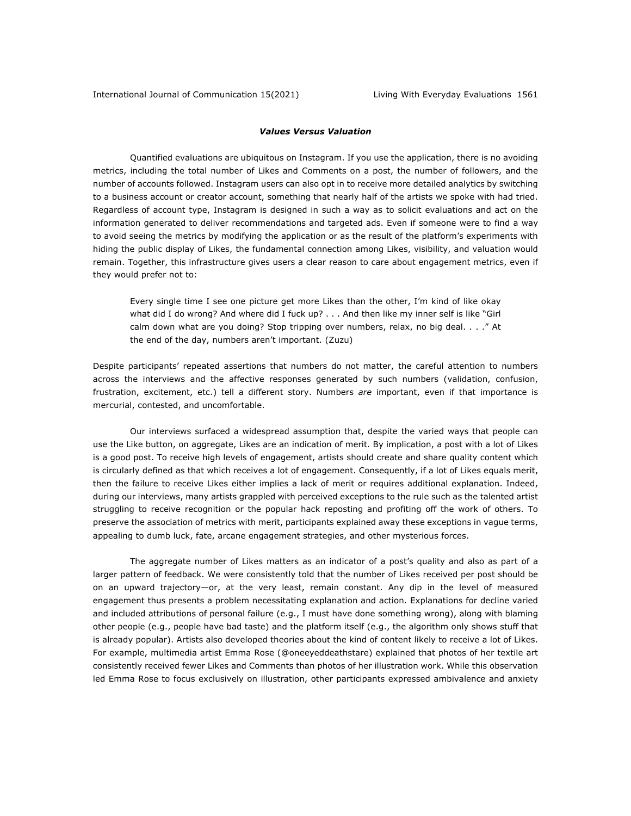## *Values Versus Valuation*

Quantified evaluations are ubiquitous on Instagram. If you use the application, there is no avoiding metrics, including the total number of Likes and Comments on a post, the number of followers, and the number of accounts followed. Instagram users can also opt in to receive more detailed analytics by switching to a business account or creator account, something that nearly half of the artists we spoke with had tried. Regardless of account type, Instagram is designed in such a way as to solicit evaluations and act on the information generated to deliver recommendations and targeted ads. Even if someone were to find a way to avoid seeing the metrics by modifying the application or as the result of the platform's experiments with hiding the public display of Likes, the fundamental connection among Likes, visibility, and valuation would remain. Together, this infrastructure gives users a clear reason to care about engagement metrics, even if they would prefer not to:

Every single time I see one picture get more Likes than the other, I'm kind of like okay what did I do wrong? And where did I fuck up? . . . And then like my inner self is like "Girl calm down what are you doing? Stop tripping over numbers, relax, no big deal. . . ." At the end of the day, numbers aren't important. (Zuzu)

Despite participants' repeated assertions that numbers do not matter, the careful attention to numbers across the interviews and the affective responses generated by such numbers (validation, confusion, frustration, excitement, etc.) tell a different story. Numbers *are* important, even if that importance is mercurial, contested, and uncomfortable.

Our interviews surfaced a widespread assumption that, despite the varied ways that people can use the Like button, on aggregate, Likes are an indication of merit. By implication, a post with a lot of Likes is a good post. To receive high levels of engagement, artists should create and share quality content which is circularly defined as that which receives a lot of engagement. Consequently, if a lot of Likes equals merit, then the failure to receive Likes either implies a lack of merit or requires additional explanation. Indeed, during our interviews, many artists grappled with perceived exceptions to the rule such as the talented artist struggling to receive recognition or the popular hack reposting and profiting off the work of others. To preserve the association of metrics with merit, participants explained away these exceptions in vague terms, appealing to dumb luck, fate, arcane engagement strategies, and other mysterious forces.

The aggregate number of Likes matters as an indicator of a post's quality and also as part of a larger pattern of feedback. We were consistently told that the number of Likes received per post should be on an upward trajectory—or, at the very least, remain constant. Any dip in the level of measured engagement thus presents a problem necessitating explanation and action. Explanations for decline varied and included attributions of personal failure (e.g., I must have done something wrong), along with blaming other people (e.g., people have bad taste) and the platform itself (e.g., the algorithm only shows stuff that is already popular). Artists also developed theories about the kind of content likely to receive a lot of Likes. For example, multimedia artist Emma Rose (@oneeyeddeathstare) explained that photos of her textile art consistently received fewer Likes and Comments than photos of her illustration work. While this observation led Emma Rose to focus exclusively on illustration, other participants expressed ambivalence and anxiety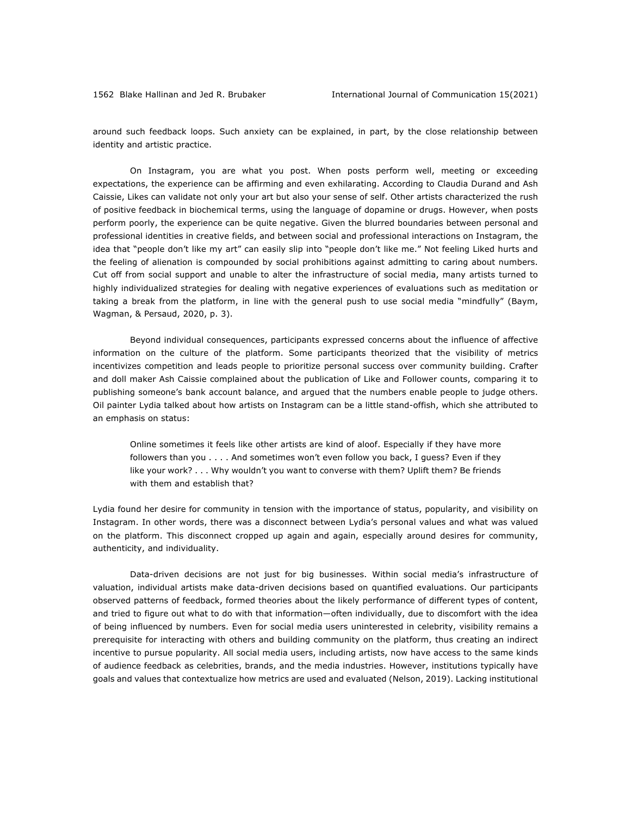around such feedback loops. Such anxiety can be explained, in part, by the close relationship between identity and artistic practice.

On Instagram, you are what you post. When posts perform well, meeting or exceeding expectations, the experience can be affirming and even exhilarating. According to Claudia Durand and Ash Caissie, Likes can validate not only your art but also your sense of self. Other artists characterized the rush of positive feedback in biochemical terms, using the language of dopamine or drugs. However, when posts perform poorly, the experience can be quite negative. Given the blurred boundaries between personal and professional identities in creative fields, and between social and professional interactions on Instagram, the idea that "people don't like my art" can easily slip into "people don't like me." Not feeling Liked hurts and the feeling of alienation is compounded by social prohibitions against admitting to caring about numbers. Cut off from social support and unable to alter the infrastructure of social media, many artists turned to highly individualized strategies for dealing with negative experiences of evaluations such as meditation or taking a break from the platform, in line with the general push to use social media "mindfully" (Baym, Wagman, & Persaud, 2020, p. 3).

Beyond individual consequences, participants expressed concerns about the influence of affective information on the culture of the platform. Some participants theorized that the visibility of metrics incentivizes competition and leads people to prioritize personal success over community building. Crafter and doll maker Ash Caissie complained about the publication of Like and Follower counts, comparing it to publishing someone's bank account balance, and argued that the numbers enable people to judge others. Oil painter Lydia talked about how artists on Instagram can be a little stand-offish, which she attributed to an emphasis on status:

Online sometimes it feels like other artists are kind of aloof. Especially if they have more followers than you . . . . And sometimes won't even follow you back, I guess? Even if they like your work? . . . Why wouldn't you want to converse with them? Uplift them? Be friends with them and establish that?

Lydia found her desire for community in tension with the importance of status, popularity, and visibility on Instagram. In other words, there was a disconnect between Lydia's personal values and what was valued on the platform. This disconnect cropped up again and again, especially around desires for community, authenticity, and individuality.

Data-driven decisions are not just for big businesses. Within social media's infrastructure of valuation, individual artists make data-driven decisions based on quantified evaluations. Our participants observed patterns of feedback, formed theories about the likely performance of different types of content, and tried to figure out what to do with that information—often individually, due to discomfort with the idea of being influenced by numbers. Even for social media users uninterested in celebrity, visibility remains a prerequisite for interacting with others and building community on the platform, thus creating an indirect incentive to pursue popularity. All social media users, including artists, now have access to the same kinds of audience feedback as celebrities, brands, and the media industries. However, institutions typically have goals and values that contextualize how metrics are used and evaluated (Nelson, 2019). Lacking institutional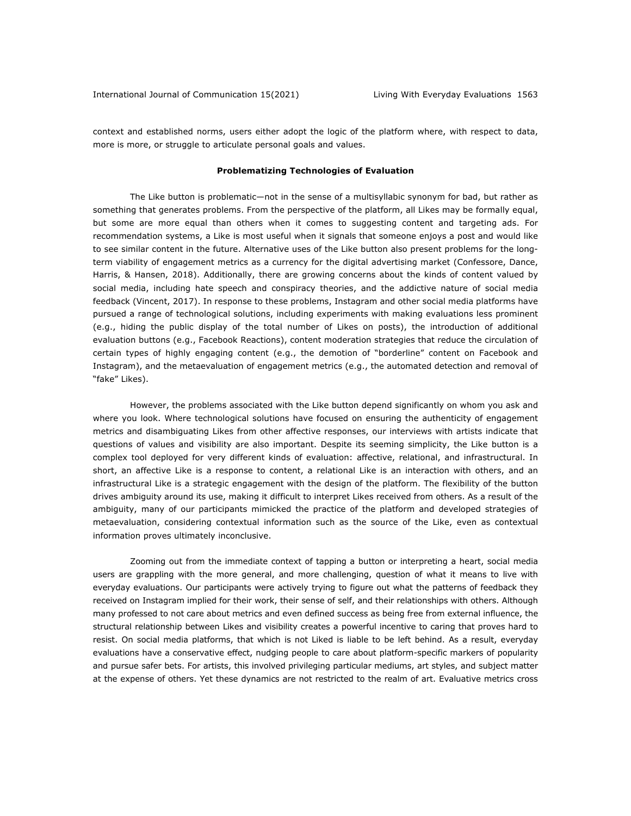context and established norms, users either adopt the logic of the platform where, with respect to data, more is more, or struggle to articulate personal goals and values.

## **Problematizing Technologies of Evaluation**

The Like button is problematic—not in the sense of a multisyllabic synonym for bad, but rather as something that generates problems. From the perspective of the platform, all Likes may be formally equal, but some are more equal than others when it comes to suggesting content and targeting ads. For recommendation systems, a Like is most useful when it signals that someone enjoys a post and would like to see similar content in the future. Alternative uses of the Like button also present problems for the longterm viability of engagement metrics as a currency for the digital advertising market (Confessore, Dance, Harris, & Hansen, 2018). Additionally, there are growing concerns about the kinds of content valued by social media, including hate speech and conspiracy theories, and the addictive nature of social media feedback (Vincent, 2017). In response to these problems, Instagram and other social media platforms have pursued a range of technological solutions, including experiments with making evaluations less prominent (e.g., hiding the public display of the total number of Likes on posts), the introduction of additional evaluation buttons (e.g., Facebook Reactions), content moderation strategies that reduce the circulation of certain types of highly engaging content (e.g., the demotion of "borderline" content on Facebook and Instagram), and the metaevaluation of engagement metrics (e.g., the automated detection and removal of "fake" Likes).

However, the problems associated with the Like button depend significantly on whom you ask and where you look. Where technological solutions have focused on ensuring the authenticity of engagement metrics and disambiguating Likes from other affective responses, our interviews with artists indicate that questions of values and visibility are also important. Despite its seeming simplicity, the Like button is a complex tool deployed for very different kinds of evaluation: affective, relational, and infrastructural. In short, an affective Like is a response to content, a relational Like is an interaction with others, and an infrastructural Like is a strategic engagement with the design of the platform. The flexibility of the button drives ambiguity around its use, making it difficult to interpret Likes received from others. As a result of the ambiguity, many of our participants mimicked the practice of the platform and developed strategies of metaevaluation, considering contextual information such as the source of the Like, even as contextual information proves ultimately inconclusive.

Zooming out from the immediate context of tapping a button or interpreting a heart, social media users are grappling with the more general, and more challenging, question of what it means to live with everyday evaluations. Our participants were actively trying to figure out what the patterns of feedback they received on Instagram implied for their work, their sense of self, and their relationships with others. Although many professed to not care about metrics and even defined success as being free from external influence, the structural relationship between Likes and visibility creates a powerful incentive to caring that proves hard to resist. On social media platforms, that which is not Liked is liable to be left behind. As a result, everyday evaluations have a conservative effect, nudging people to care about platform-specific markers of popularity and pursue safer bets. For artists, this involved privileging particular mediums, art styles, and subject matter at the expense of others. Yet these dynamics are not restricted to the realm of art. Evaluative metrics cross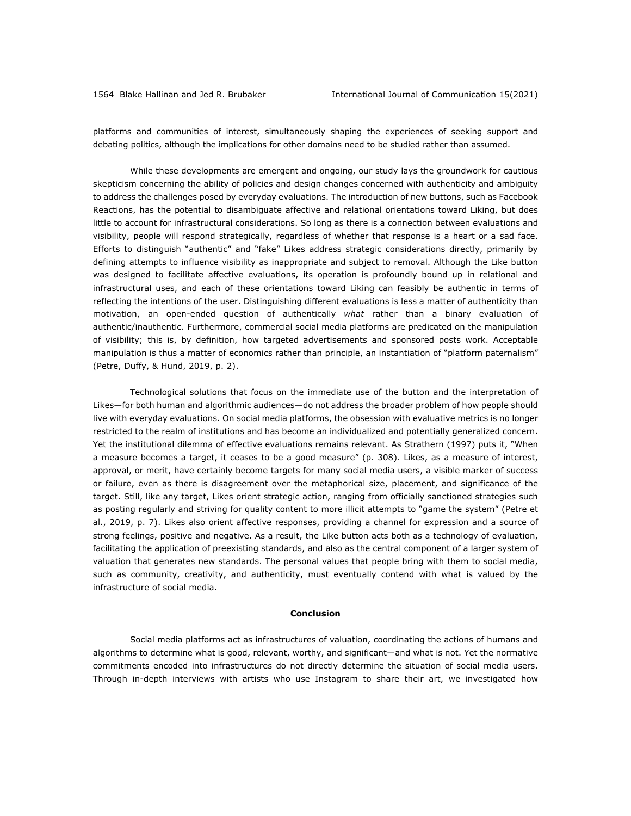platforms and communities of interest, simultaneously shaping the experiences of seeking support and debating politics, although the implications for other domains need to be studied rather than assumed.

While these developments are emergent and ongoing, our study lays the groundwork for cautious skepticism concerning the ability of policies and design changes concerned with authenticity and ambiguity to address the challenges posed by everyday evaluations. The introduction of new buttons, such as Facebook Reactions, has the potential to disambiguate affective and relational orientations toward Liking, but does little to account for infrastructural considerations. So long as there is a connection between evaluations and visibility, people will respond strategically, regardless of whether that response is a heart or a sad face. Efforts to distinguish "authentic" and "fake" Likes address strategic considerations directly, primarily by defining attempts to influence visibility as inappropriate and subject to removal. Although the Like button was designed to facilitate affective evaluations, its operation is profoundly bound up in relational and infrastructural uses, and each of these orientations toward Liking can feasibly be authentic in terms of reflecting the intentions of the user. Distinguishing different evaluations is less a matter of authenticity than motivation, an open-ended question of authentically *what* rather than a binary evaluation of authentic/inauthentic. Furthermore, commercial social media platforms are predicated on the manipulation of visibility; this is, by definition, how targeted advertisements and sponsored posts work. Acceptable manipulation is thus a matter of economics rather than principle, an instantiation of "platform paternalism" (Petre, Duffy, & Hund, 2019, p. 2).

Technological solutions that focus on the immediate use of the button and the interpretation of Likes—for both human and algorithmic audiences—do not address the broader problem of how people should live with everyday evaluations. On social media platforms, the obsession with evaluative metrics is no longer restricted to the realm of institutions and has become an individualized and potentially generalized concern. Yet the institutional dilemma of effective evaluations remains relevant. As Strathern (1997) puts it, "When a measure becomes a target, it ceases to be a good measure" (p. 308). Likes, as a measure of interest, approval, or merit, have certainly become targets for many social media users, a visible marker of success or failure, even as there is disagreement over the metaphorical size, placement, and significance of the target. Still, like any target, Likes orient strategic action, ranging from officially sanctioned strategies such as posting regularly and striving for quality content to more illicit attempts to "game the system" (Petre et al., 2019, p. 7). Likes also orient affective responses, providing a channel for expression and a source of strong feelings, positive and negative. As a result, the Like button acts both as a technology of evaluation, facilitating the application of preexisting standards, and also as the central component of a larger system of valuation that generates new standards. The personal values that people bring with them to social media, such as community, creativity, and authenticity, must eventually contend with what is valued by the infrastructure of social media.

## **Conclusion**

Social media platforms act as infrastructures of valuation, coordinating the actions of humans and algorithms to determine what is good, relevant, worthy, and significant—and what is not. Yet the normative commitments encoded into infrastructures do not directly determine the situation of social media users. Through in-depth interviews with artists who use Instagram to share their art, we investigated how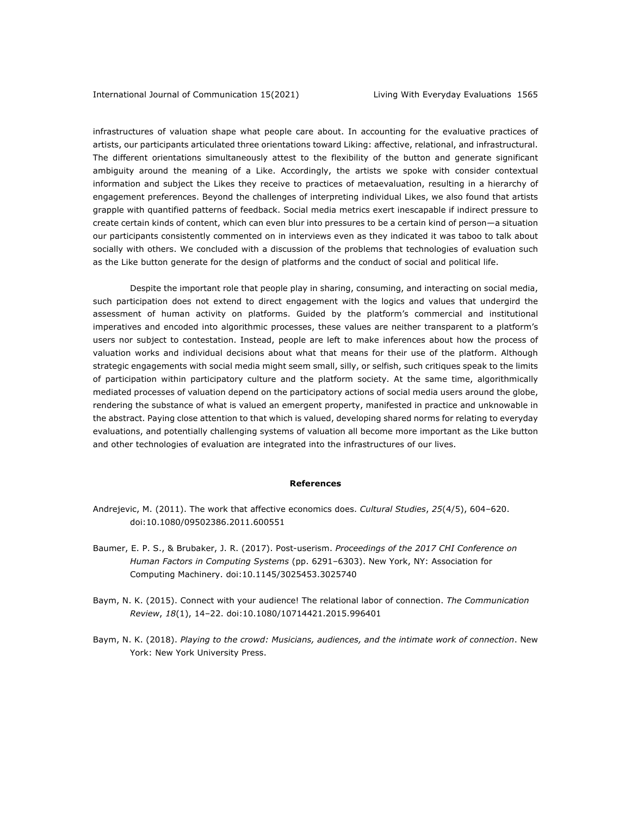infrastructures of valuation shape what people care about. In accounting for the evaluative practices of artists, our participants articulated three orientations toward Liking: affective, relational, and infrastructural. The different orientations simultaneously attest to the flexibility of the button and generate significant ambiguity around the meaning of a Like. Accordingly, the artists we spoke with consider contextual information and subject the Likes they receive to practices of metaevaluation, resulting in a hierarchy of engagement preferences. Beyond the challenges of interpreting individual Likes, we also found that artists grapple with quantified patterns of feedback. Social media metrics exert inescapable if indirect pressure to create certain kinds of content, which can even blur into pressures to be a certain kind of person—a situation our participants consistently commented on in interviews even as they indicated it was taboo to talk about socially with others. We concluded with a discussion of the problems that technologies of evaluation such as the Like button generate for the design of platforms and the conduct of social and political life.

Despite the important role that people play in sharing, consuming, and interacting on social media, such participation does not extend to direct engagement with the logics and values that undergird the assessment of human activity on platforms. Guided by the platform's commercial and institutional imperatives and encoded into algorithmic processes, these values are neither transparent to a platform's users nor subject to contestation. Instead, people are left to make inferences about how the process of valuation works and individual decisions about what that means for their use of the platform. Although strategic engagements with social media might seem small, silly, or selfish, such critiques speak to the limits of participation within participatory culture and the platform society. At the same time, algorithmically mediated processes of valuation depend on the participatory actions of social media users around the globe, rendering the substance of what is valued an emergent property, manifested in practice and unknowable in the abstract. Paying close attention to that which is valued, developing shared norms for relating to everyday evaluations, and potentially challenging systems of valuation all become more important as the Like button and other technologies of evaluation are integrated into the infrastructures of our lives.

#### **References**

- Andrejevic, M. (2011). The work that affective economics does. *Cultural Studies*, *25*(4/5), 604–620. doi:10.1080/09502386.2011.600551
- Baumer, E. P. S., & Brubaker, J. R. (2017). Post-userism. *Proceedings of the 2017 CHI Conference on Human Factors in Computing Systems* (pp. 6291–6303). New York, NY: Association for Computing Machinery. doi:10.1145/3025453.3025740
- Baym, N. K. (2015). Connect with your audience! The relational labor of connection. *The Communication Review*, *18*(1), 14–22. doi:10.1080/10714421.2015.996401
- Baym, N. K. (2018). *Playing to the crowd: Musicians, audiences, and the intimate work of connection*. New York: New York University Press.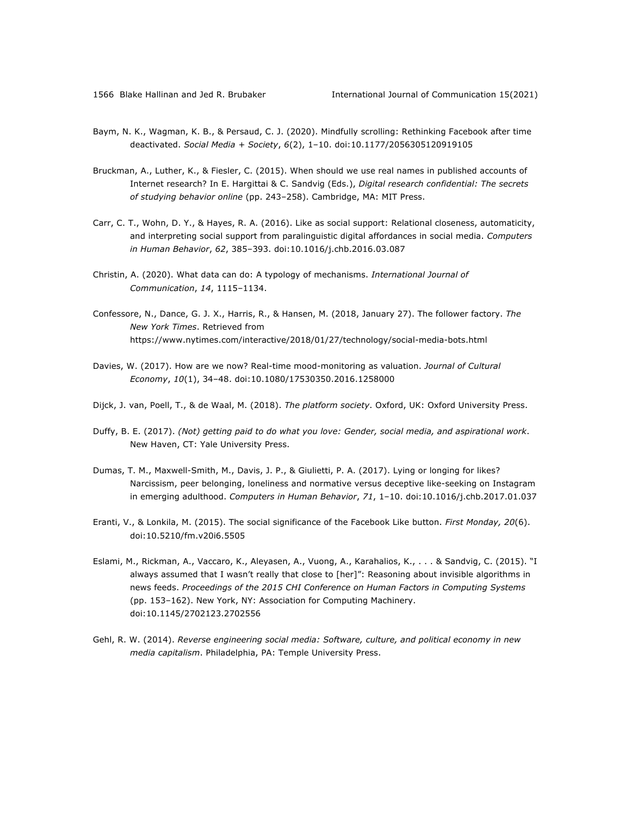- Baym, N. K., Wagman, K. B., & Persaud, C. J. (2020). Mindfully scrolling: Rethinking Facebook after time deactivated. *Social Media + Society*, *6*(2), 1–10. doi:10.1177/2056305120919105
- Bruckman, A., Luther, K., & Fiesler, C. (2015). When should we use real names in published accounts of Internet research? In E. Hargittai & C. Sandvig (Eds.), *Digital research confidential: The secrets of studying behavior online* (pp. 243–258). Cambridge, MA: MIT Press.
- Carr, C. T., Wohn, D. Y., & Hayes, R. A. (2016). Like as social support: Relational closeness, automaticity, and interpreting social support from paralinguistic digital affordances in social media. *Computers in Human Behavior*, *62*, 385–393. doi:10.1016/j.chb.2016.03.087
- Christin, A. (2020). What data can do: A typology of mechanisms. *International Journal of Communication*, *14*, 1115–1134.
- Confessore, N., Dance, G. J. X., Harris, R., & Hansen, M. (2018, January 27). The follower factory. *The New York Times*. Retrieved from https://www.nytimes.com/interactive/2018/01/27/technology/social-media-bots.html
- Davies, W. (2017). How are we now? Real-time mood-monitoring as valuation. *Journal of Cultural Economy*, *10*(1), 34–48. doi:10.1080/17530350.2016.1258000
- Dijck, J. van, Poell, T., & de Waal, M. (2018). *The platform society*. Oxford, UK: Oxford University Press.
- Duffy, B. E. (2017). *(Not) getting paid to do what you love: Gender, social media, and aspirational work*. New Haven, CT: Yale University Press.
- Dumas, T. M., Maxwell-Smith, M., Davis, J. P., & Giulietti, P. A. (2017). Lying or longing for likes? Narcissism, peer belonging, loneliness and normative versus deceptive like-seeking on Instagram in emerging adulthood. *Computers in Human Behavior*, *71*, 1–10. doi:10.1016/j.chb.2017.01.037
- Eranti, V., & Lonkila, M. (2015). The social significance of the Facebook Like button. *First Monday, 20*(6). doi:10.5210/fm.v20i6.5505
- Eslami, M., Rickman, A., Vaccaro, K., Aleyasen, A., Vuong, A., Karahalios, K., . . . & Sandvig, C. (2015). "I always assumed that I wasn't really that close to [her]": Reasoning about invisible algorithms in news feeds. *Proceedings of the 2015 CHI Conference on Human Factors in Computing Systems*  (pp. 153–162). New York, NY: Association for Computing Machinery. doi:10.1145/2702123.2702556
- Gehl, R. W. (2014). *Reverse engineering social media: Software, culture, and political economy in new media capitalism*. Philadelphia, PA: Temple University Press.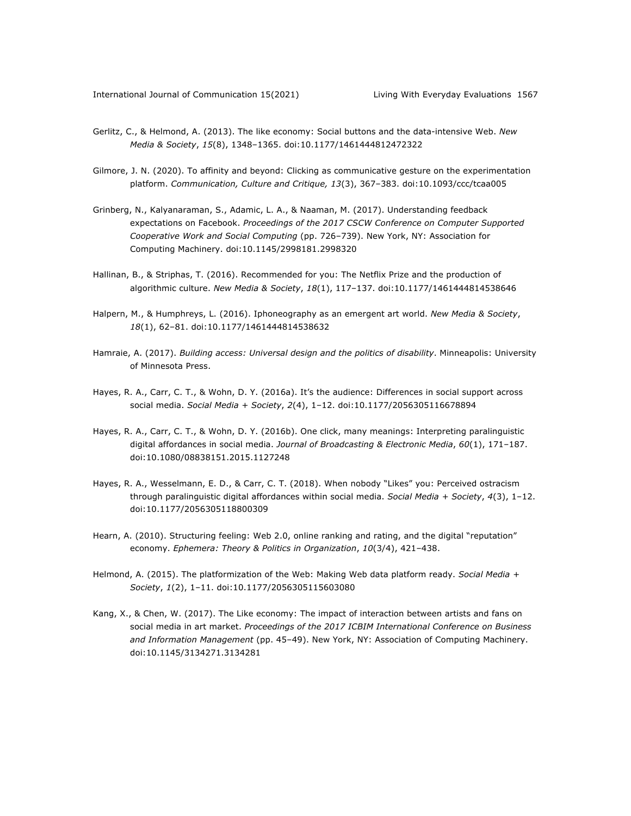- Gerlitz, C., & Helmond, A. (2013). The like economy: Social buttons and the data-intensive Web. *New Media & Society*, *15*(8), 1348–1365. doi:10.1177/1461444812472322
- Gilmore, J. N. (2020). To affinity and beyond: Clicking as communicative gesture on the experimentation platform. *Communication, Culture and Critique, 13*(3), 367–383. doi:10.1093/ccc/tcaa005
- Grinberg, N., Kalyanaraman, S., Adamic, L. A., & Naaman, M. (2017). Understanding feedback expectations on Facebook. *Proceedings of the 2017 CSCW Conference on Computer Supported Cooperative Work and Social Computing* (pp. 726–739). New York, NY: Association for Computing Machinery. doi:10.1145/2998181.2998320
- Hallinan, B., & Striphas, T. (2016). Recommended for you: The Netflix Prize and the production of algorithmic culture. *New Media & Society*, *18*(1), 117–137. doi:10.1177/1461444814538646
- Halpern, M., & Humphreys, L. (2016). Iphoneography as an emergent art world. *New Media & Society*, *18*(1), 62–81. doi:10.1177/1461444814538632
- Hamraie, A. (2017). *Building access: Universal design and the politics of disability*. Minneapolis: University of Minnesota Press.
- Hayes, R. A., Carr, C. T., & Wohn, D. Y. (2016a). It's the audience: Differences in social support across social media. *Social Media + Society*, *2*(4), 1–12. doi:10.1177/2056305116678894
- Hayes, R. A., Carr, C. T., & Wohn, D. Y. (2016b). One click, many meanings: Interpreting paralinguistic digital affordances in social media. *Journal of Broadcasting & Electronic Media*, *60*(1), 171–187. doi:10.1080/08838151.2015.1127248
- Hayes, R. A., Wesselmann, E. D., & Carr, C. T. (2018). When nobody "Likes" you: Perceived ostracism through paralinguistic digital affordances within social media. *Social Media + Society*, *4*(3), 1–12. doi:10.1177/2056305118800309
- Hearn, A. (2010). Structuring feeling: Web 2.0, online ranking and rating, and the digital "reputation" economy. *Ephemera: Theory & Politics in Organization*, *10*(3/4), 421–438.
- Helmond, A. (2015). The platformization of the Web: Making Web data platform ready. *Social Media + Society*, *1*(2), 1–11. doi:10.1177/2056305115603080
- Kang, X., & Chen, W. (2017). The Like economy: The impact of interaction between artists and fans on social media in art market. *Proceedings of the 2017 ICBIM International Conference on Business and Information Management* (pp. 45–49). New York, NY: Association of Computing Machinery. doi:10.1145/3134271.3134281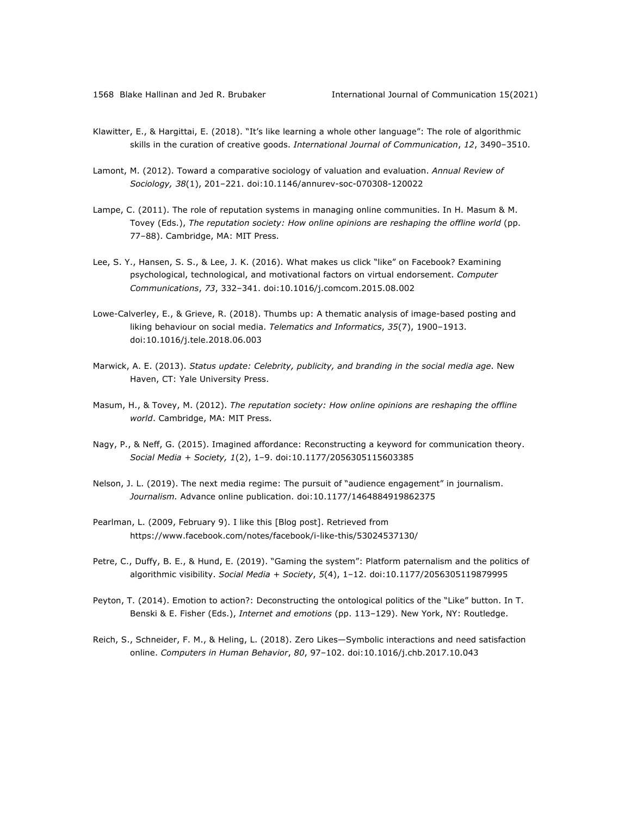- Klawitter, E., & Hargittai, E. (2018). "It's like learning a whole other language": The role of algorithmic skills in the curation of creative goods. *International Journal of Communication*, *12*, 3490–3510.
- Lamont, M. (2012). Toward a comparative sociology of valuation and evaluation. *Annual Review of Sociology, 38*(1), 201–221. doi:10.1146/annurev-soc-070308-120022
- Lampe, C. (2011). The role of reputation systems in managing online communities. In H. Masum & M. Tovey (Eds.), *The reputation society: How online opinions are reshaping the offline world* (pp. 77–88). Cambridge, MA: MIT Press.
- Lee, S. Y., Hansen, S. S., & Lee, J. K. (2016). What makes us click "like" on Facebook? Examining psychological, technological, and motivational factors on virtual endorsement. *Computer Communications*, *73*, 332–341. doi:10.1016/j.comcom.2015.08.002
- Lowe-Calverley, E., & Grieve, R. (2018). Thumbs up: A thematic analysis of image-based posting and liking behaviour on social media. *Telematics and Informatics*, *35*(7), 1900–1913. doi:10.1016/j.tele.2018.06.003
- Marwick, A. E. (2013). *Status update: Celebrity, publicity, and branding in the social media age*. New Haven, CT: Yale University Press.
- Masum, H., & Tovey, M. (2012). *The reputation society: How online opinions are reshaping the offline world*. Cambridge, MA: MIT Press.
- Nagy, P., & Neff, G. (2015). Imagined affordance: Reconstructing a keyword for communication theory. *Social Media + Society, 1*(2), 1–9. doi:10.1177/2056305115603385
- Nelson, J. L. (2019). The next media regime: The pursuit of "audience engagement" in journalism. *Journalism.* Advance online publication. doi:10.1177/1464884919862375
- Pearlman, L. (2009, February 9). I like this [Blog post]. Retrieved from https://www.facebook.com/notes/facebook/i-like-this/53024537130/
- Petre, C., Duffy, B. E., & Hund, E. (2019). "Gaming the system": Platform paternalism and the politics of algorithmic visibility. *Social Media + Society*, *5*(4), 1–12. doi:10.1177/2056305119879995
- Peyton, T. (2014). Emotion to action?: Deconstructing the ontological politics of the "Like" button. In T. Benski & E. Fisher (Eds.), *Internet and emotions* (pp. 113–129). New York, NY: Routledge.
- Reich, S., Schneider, F. M., & Heling, L. (2018). Zero Likes—Symbolic interactions and need satisfaction online. *Computers in Human Behavior*, *80*, 97–102. doi:10.1016/j.chb.2017.10.043